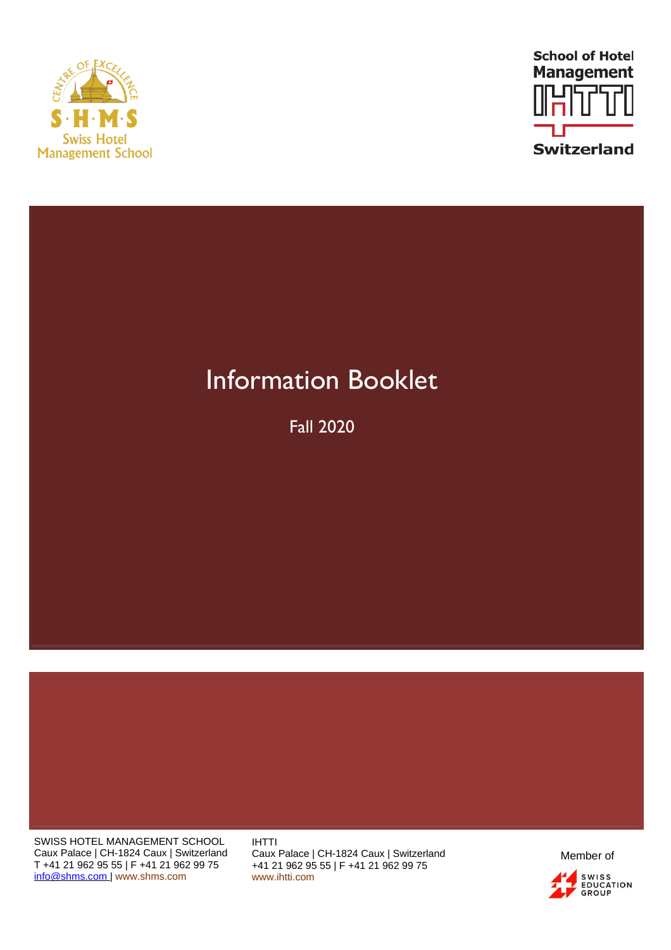



# Information Booklet

Fall 2020

SWISS HOTEL MANAGEMENT SCHOOL Caux Palace | CH-1824 Caux | Switzerland T +41 21 962 95 55 | F +41 21 962 99 75 [info@shms.com |](mailto:info@shms.com) [www.shms.com](http://www.shms.com/)

IHTTI Caux Palace | CH-1824 Caux | Switzerland +41 21 962 95 55 | F +41 21 962 99 75 [www.ihtti.com](http://www.ihtti.com/)

Member ofSWISS<br>EDUCATION<br>GROUP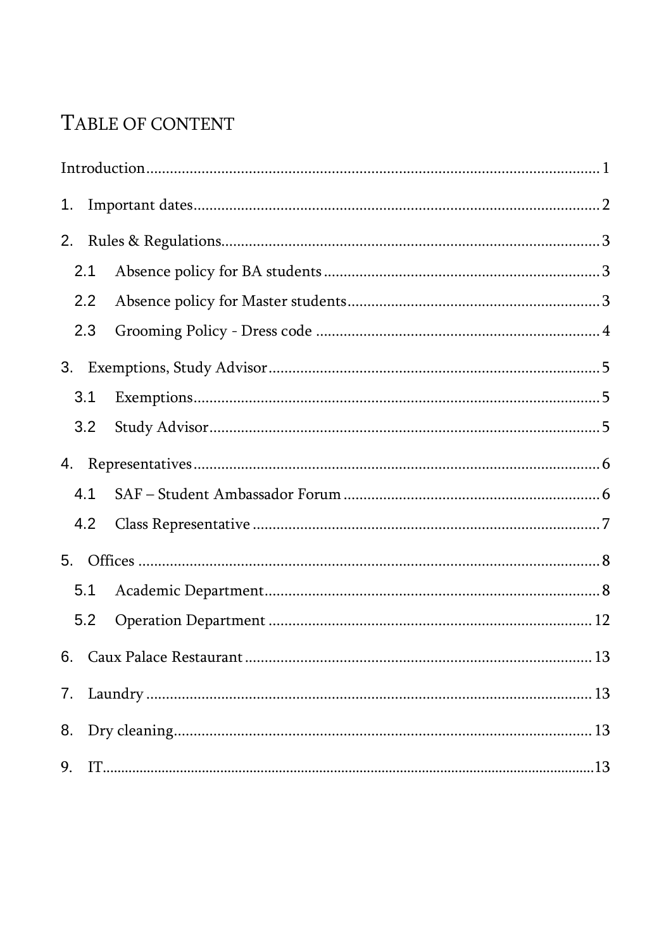# TABLE OF CONTENT

| 1. |     |  |  |  |  |
|----|-----|--|--|--|--|
| 2. |     |  |  |  |  |
|    | 2.1 |  |  |  |  |
|    | 2.2 |  |  |  |  |
|    | 2.3 |  |  |  |  |
|    |     |  |  |  |  |
|    | 3.1 |  |  |  |  |
|    | 3.2 |  |  |  |  |
|    |     |  |  |  |  |
|    | 4.1 |  |  |  |  |
|    | 4.2 |  |  |  |  |
|    |     |  |  |  |  |
|    | 5.1 |  |  |  |  |
|    | 5.2 |  |  |  |  |
|    |     |  |  |  |  |
|    |     |  |  |  |  |
|    |     |  |  |  |  |
| 9. |     |  |  |  |  |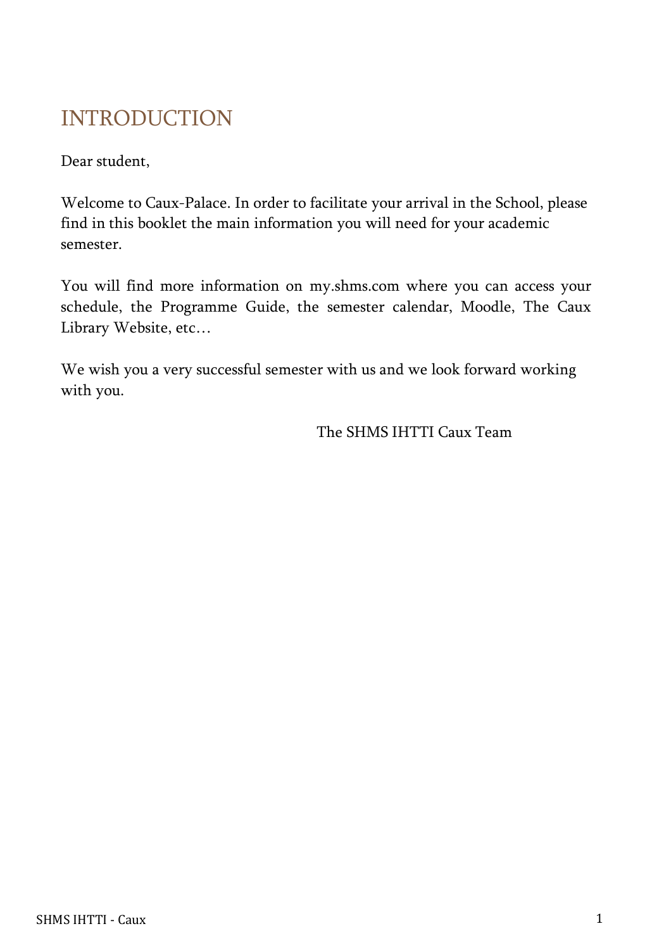# <span id="page-2-0"></span>INTRODUCTION

Dear student,

Welcome to Caux-Palace. In order to facilitate your arrival in the School, please find in this booklet the main information you will need for your academic semester.

You will find more information on [my.shms.com w](http://my.shms.com/)here you can access your schedule, the Programme Guide, the semester calendar, Moodle, The Caux Library Website, etc…

We wish you a very successful semester with us and we look forward working with you.

The SHMS IHTTI Caux Team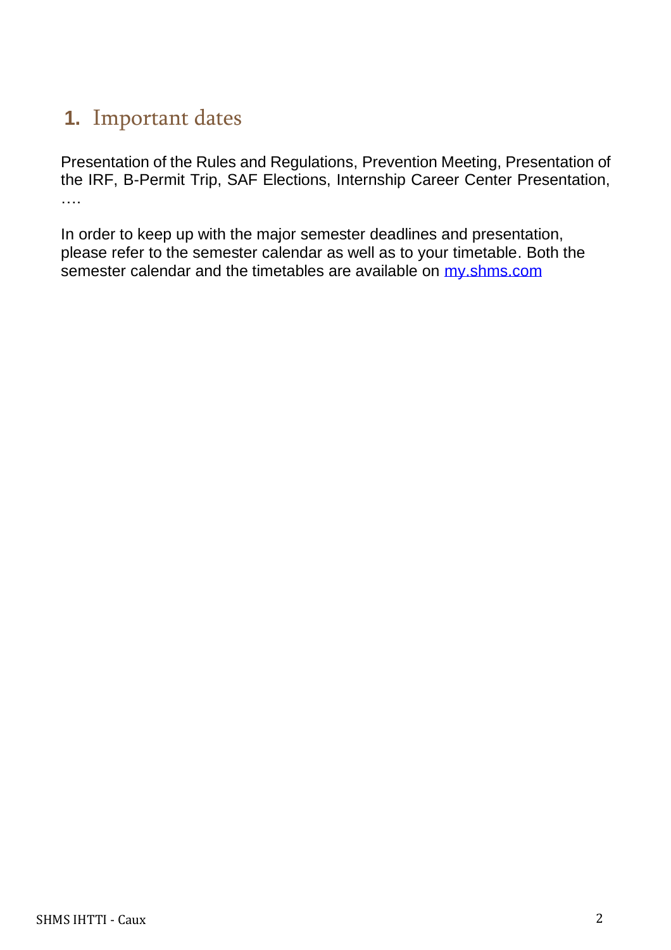# **1.** Important dates

Presentation of the Rules and Regulations, Prevention Meeting, Presentation of the IRF, B-Permit Trip, SAF Elections, Internship Career Center Presentation, ….

In order to keep up with the major semester deadlines and presentation, please refer to the semester calendar as well as to your timetable. Both the semester calendar and the timetables are available on my shms.com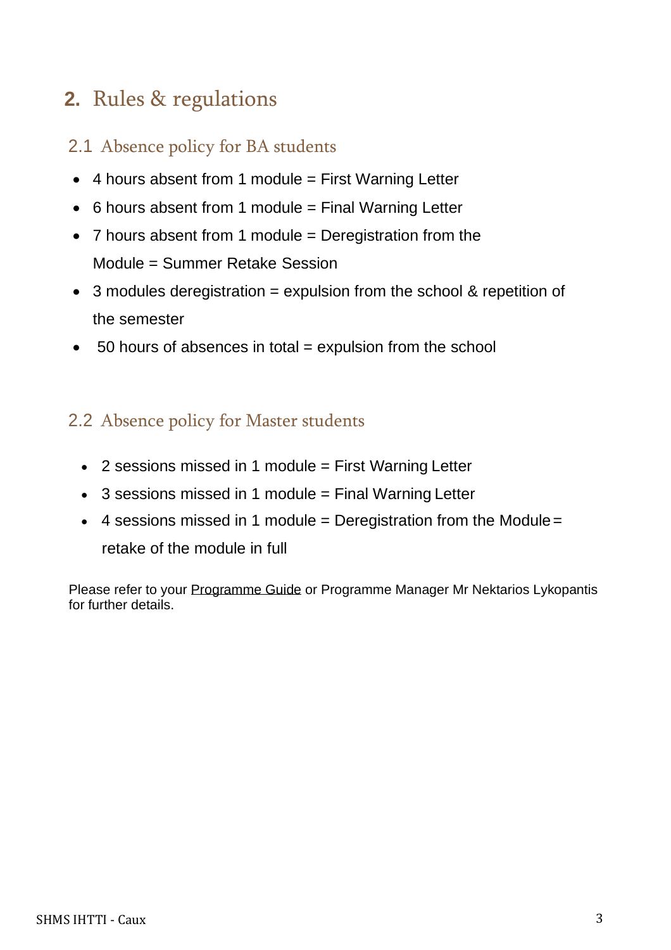# **2.** Rules & regulations

## <span id="page-4-0"></span>2.1 Absence policy for BA students

- 4 hours absent from 1 module = First Warning Letter
- $\bullet$  6 hours absent from 1 module = Final Warning Letter
- 7 hours absent from 1 module = Deregistration from the Module = Summer Retake Session
- 3 modules deregistration = expulsion from the school & repetition of the semester
- $\bullet$  50 hours of absences in total = expulsion from the school

# <span id="page-4-1"></span>2.2 Absence policy for Master students

- 2 sessions missed in 1 module = First Warning Letter
- 3 sessions missed in 1 module = Final Warning Letter
- $\bullet$  4 sessions missed in 1 module = Deregistration from the Module = retake of the module in full

Please refer to your Programme Guide or Programme Manager Mr Nektarios Lykopantis for further details.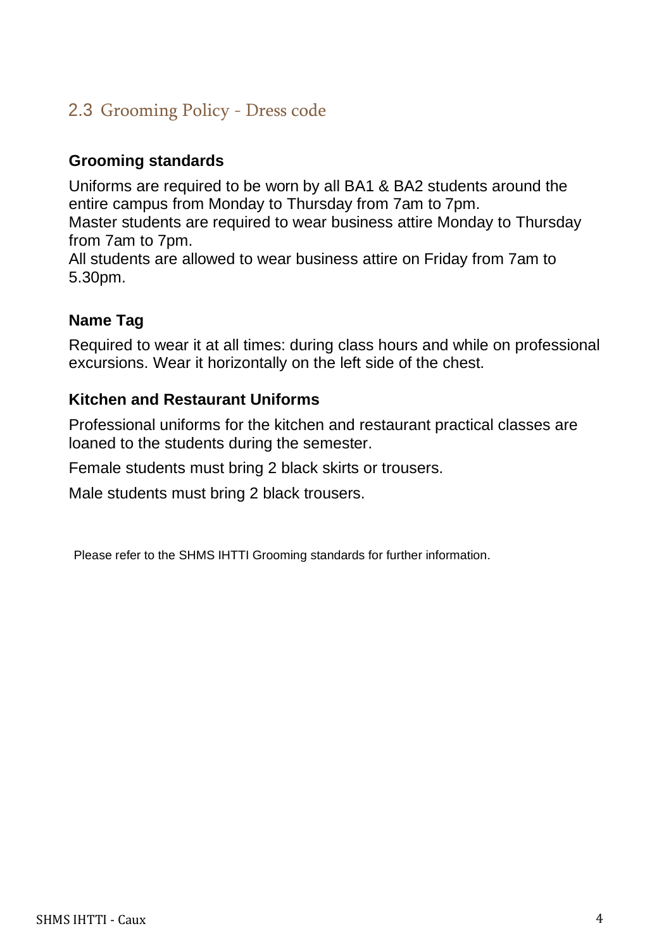# <span id="page-5-0"></span>2.3 Grooming Policy - Dress code

## **Grooming standards**

Uniforms are required to be worn by all BA1 & BA2 students around the entire campus from Monday to Thursday from 7am to 7pm.

Master students are required to wear business attire Monday to Thursday from 7am to 7pm.

All students are allowed to wear business attire on Friday from 7am to 5.30pm.

## **Name Tag**

Required to wear it at all times: during class hours and while on professional excursions. Wear it horizontally on the left side of the chest.

## **Kitchen and Restaurant Uniforms**

Professional uniforms for the kitchen and restaurant practical classes are loaned to the students during the semester.

Female students must bring 2 black skirts or trousers.

Male students must bring 2 black trousers.

Please refer to the SHMS IHTTI Grooming standards for further information.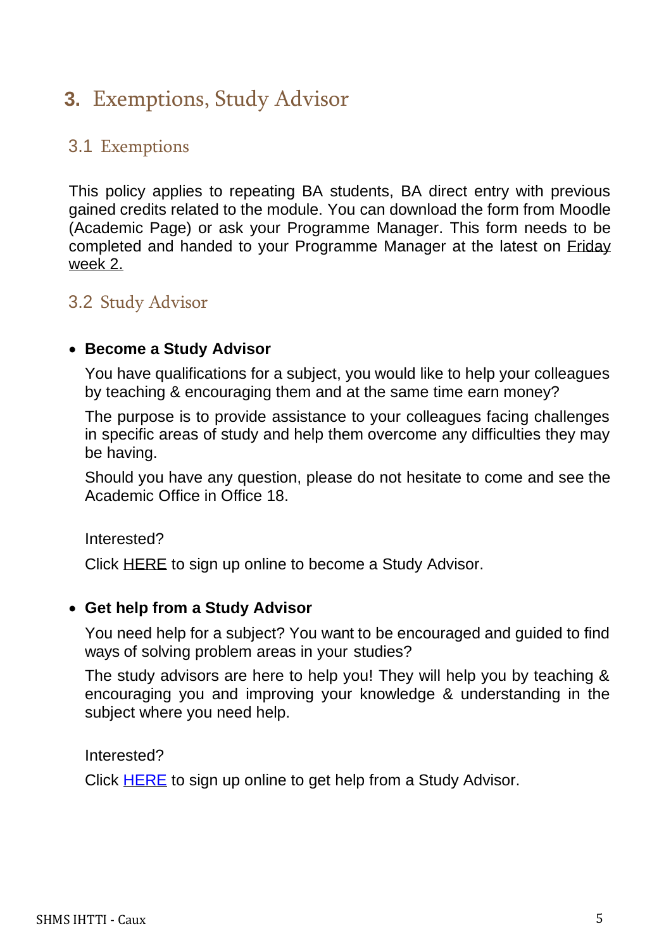# <span id="page-6-0"></span>**3.** Exemptions, Study Advisor

## <span id="page-6-1"></span>3.1 Exemptions

This policy applies to repeating BA students, BA direct entry with previous gained credits related to the module. You can download the form from Moodle (Academic Page) or ask your Programme Manager. This form needs to be completed and handed to your Programme Manager at the latest on Friday week 2.

## <span id="page-6-2"></span>3.2 Study Advisor

#### • **Become a Study Advisor**

You have qualifications for a subject, you would like to help your colleagues by teaching & encouraging them and at the same time earn money?

The purpose is to provide assistance to your colleagues facing challenges in specific areas of study and help them overcome any difficulties they may be having.

Should you have any question, please do not hesitate to come and see the Academic Office in Office 18.

Interested?

Click [HERE](http://my.shms.com/index.php?id=student-advisor-caux) to sign up online to become a Study Advisor.

#### • **Get help from a Study Advisor**

You need help for a subject? You want to be encouraged and guided to find ways of solving problem areas in your studies?

The study advisors are here to help you! They will help you by teaching & encouraging you and improving your knowledge & understanding in the subject where you need help.

Interested?

Click **HERE** to sign up online to get help from a Study Advisor.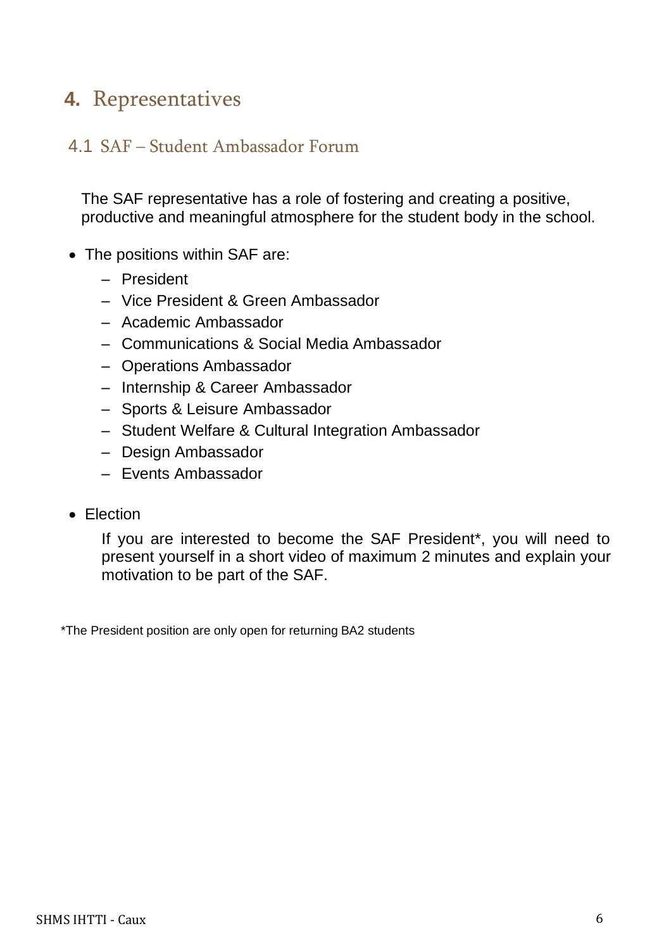# <span id="page-7-0"></span>**4.** Representatives

## <span id="page-7-1"></span>4.1 SAF – Student Ambassador Forum

The SAF representative has a role of fostering and creating a positive, productive and meaningful atmosphere for the student body in the school.

- The positions within SAF are:
	- President
	- Vice President & Green Ambassador
	- Academic Ambassador
	- Communications & Social Media Ambassador
	- Operations Ambassador
	- Internship & Career Ambassador
	- Sports & Leisure Ambassador
	- Student Welfare & Cultural Integration Ambassador
	- Design Ambassador
	- Events Ambassador
- Election

If you are interested to become the SAF President\*, you will need to present yourself in a short video of maximum 2 minutes and explain your motivation to be part of the SAF.

\*The President position are only open for returning BA2 students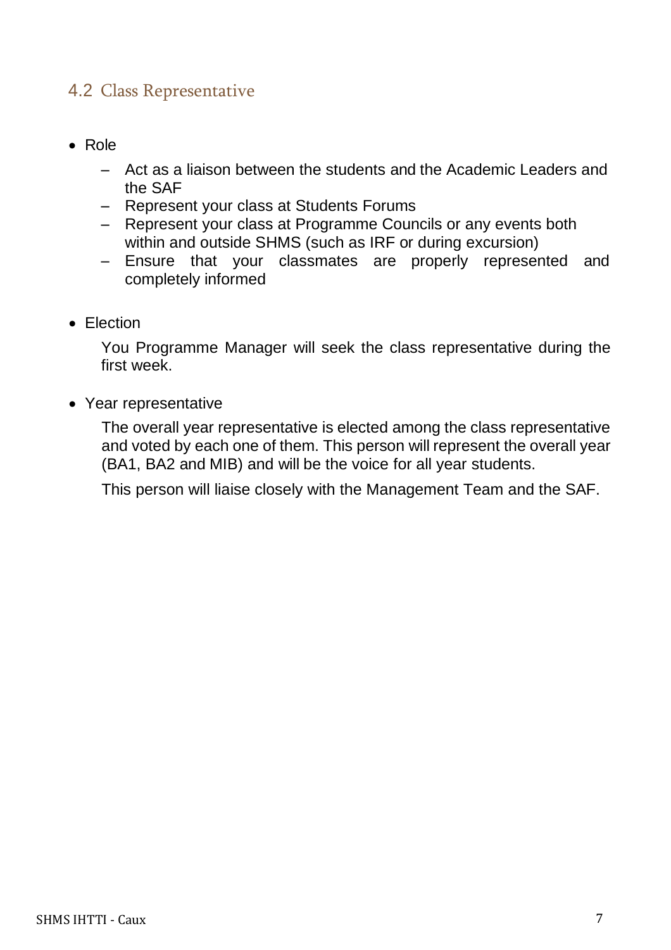## <span id="page-8-0"></span>4.2 Class Representative

- Role
	- Act as a liaison between the students and the Academic Leaders and the SAF
	- Represent your class at Students Forums
	- Represent your class at Programme Councils or any events both within and outside SHMS (such as IRF or during excursion)
	- Ensure that your classmates are properly represented and completely informed
- Election

You Programme Manager will seek the class representative during the first week.

• Year representative

The overall year representative is elected among the class representative and voted by each one of them. This person will represent the overall year (BA1, BA2 and MIB) and will be the voice for all year students.

This person will liaise closely with the Management Team and the SAF.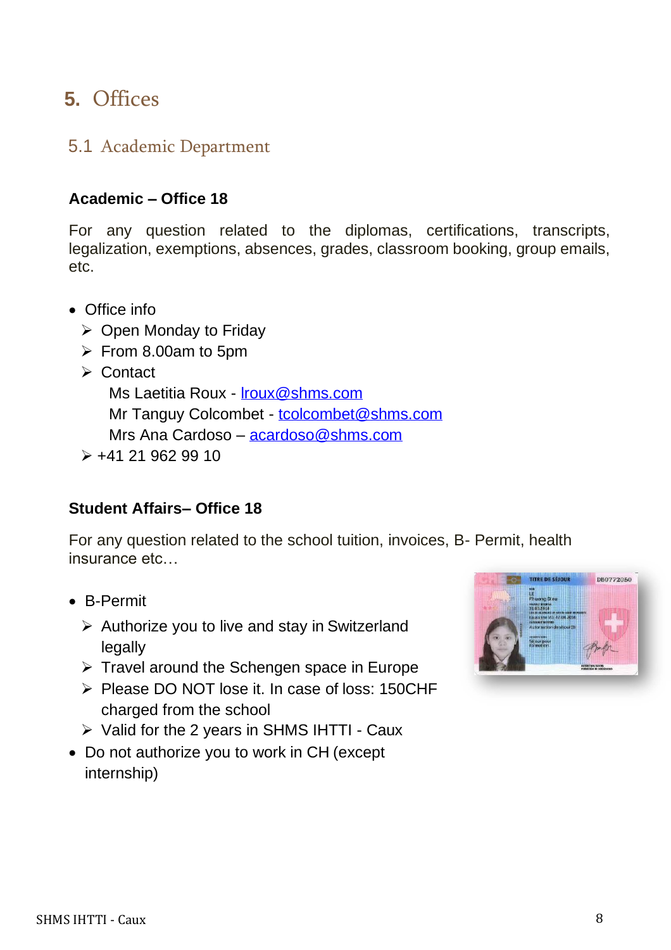# <span id="page-9-0"></span>**5.** Offices

## <span id="page-9-1"></span>5.1 Academic Department

## **Academic – Office 18**

For any question related to the diplomas, certifications, transcripts, legalization, exemptions, absences, grades, classroom booking, group emails, etc.

- Office info
	- ➢ Open Monday to Friday
	- $\triangleright$  From 8.00am to 5pm
	- ➢ Contact

Ms Laetitia Roux - [lroux@shms.com](mailto:lroux@shms.com) Mr Tanguy Colcombet - [tcolcombet@shms.com](mailto:tcolcombet@shms.com) Mrs Ana Cardoso – acardoso@shms.com

 $\geq$  +41 21 962 99 10

## **Student Affairs– Office 18**

For any question related to the school tuition, invoices, B- Permit, health insurance etc…

- B-Permit
	- $\triangleright$  Authorize you to live and stay in Switzerland legally
	- $\triangleright$  Travel around the Schengen space in Europe
	- ➢ Please DO NOT lose it. In case of loss: 150CHF charged from the school
	- $\triangleright$  Valid for the 2 years in SHMS IHTTI Caux
- Do not authorize you to work in CH (except internship)

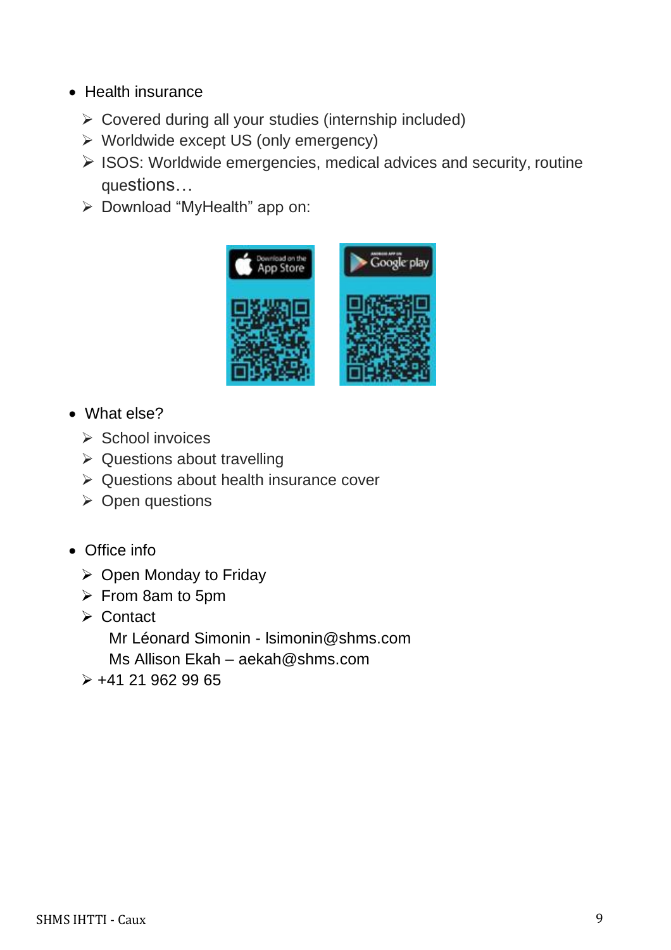- Health insurance
	- ➢ Covered during all your studies (internship included)
	- ➢ Worldwide except US (only emergency)
	- ➢ ISOS: Worldwide emergencies, medical advices and security, routine questions…
	- ➢ Download "MyHealth" app on:



- What else?
	- ➢ School invoices
	- ➢ Questions about travelling
	- ➢ Questions about health insurance cover
	- ➢ Open questions
- Office info
	- ➢ Open Monday to Friday
	- ➢ From 8am to 5pm
	- ➢ Contact Mr Léonard Simonin - [lsimonin@shms.com](mailto:lsimonin@shms.com) Ms Allison Ekah – aekah@shms.com
	- $\geq$  +41 21 962 99 65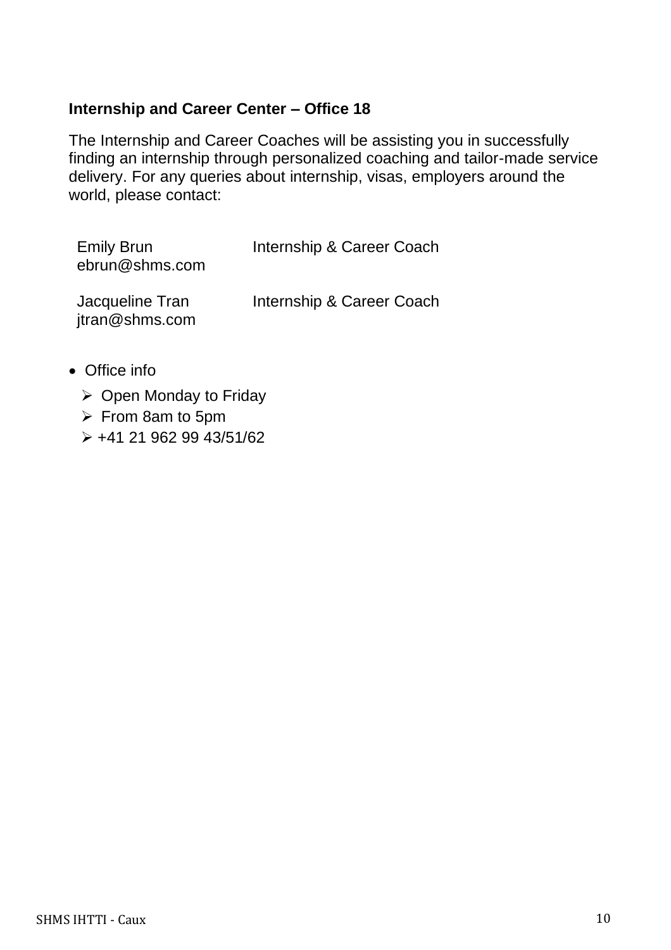## **Internship and Career Center – Office 18**

The Internship and Career Coaches will be assisting you in successfully finding an internship through personalized coaching and tailor-made service delivery. For any queries about internship, visas, employers around the world, please contact:

| <b>Emily Brun</b><br>ebrun@shms.com | Internship & Career Coach |
|-------------------------------------|---------------------------|
| Jacqueline Tran<br>jtran@shms.com   | Internship & Career Coach |

- Office info
	- ➢ Open Monday to Friday
	- ➢ From 8am to 5pm
	- ➢ +41 21 962 99 43/51/62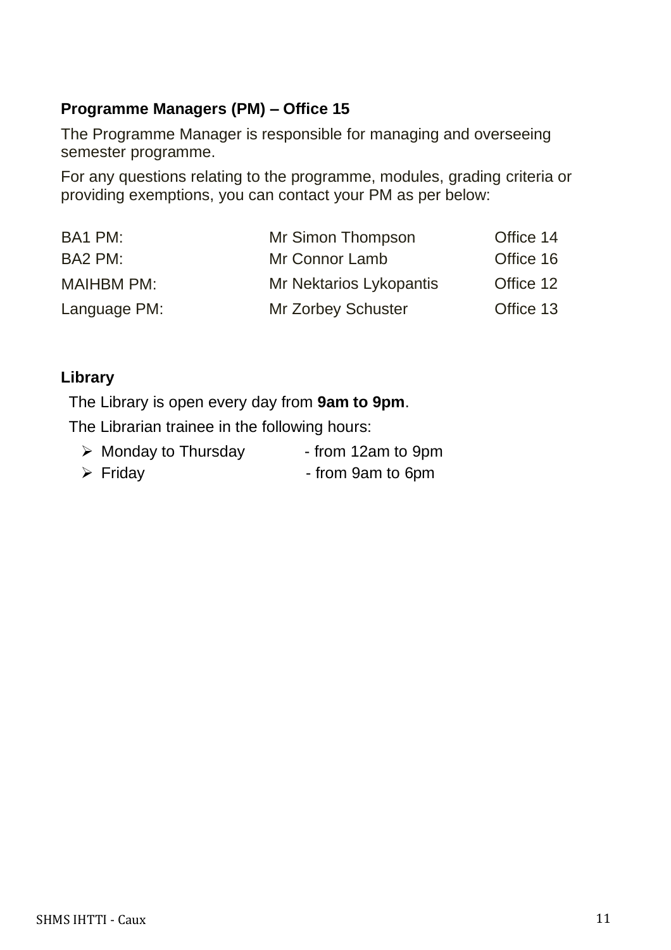## **Programme Managers (PM) – Office 15**

The Programme Manager is responsible for managing and overseeing semester programme.

For any questions relating to the programme, modules, grading criteria or providing exemptions, you can contact your PM as per below:

| BA1 PM:           | Mr Simon Thompson              | Office 14 |
|-------------------|--------------------------------|-----------|
| BA2 PM:           | Mr Connor Lamb                 | Office 16 |
| <b>MAIHBM PM:</b> | <b>Mr Nektarios Lykopantis</b> | Office 12 |
| Language PM:      | <b>Mr Zorbey Schuster</b>      | Office 13 |

#### **Library**

The Library is open every day from **9am to 9pm**.

The Librarian trainee in the following hours:

- $\triangleright$  Monday to Thursday from 12am to 9pm
- ➢ Friday from 9am to 6pm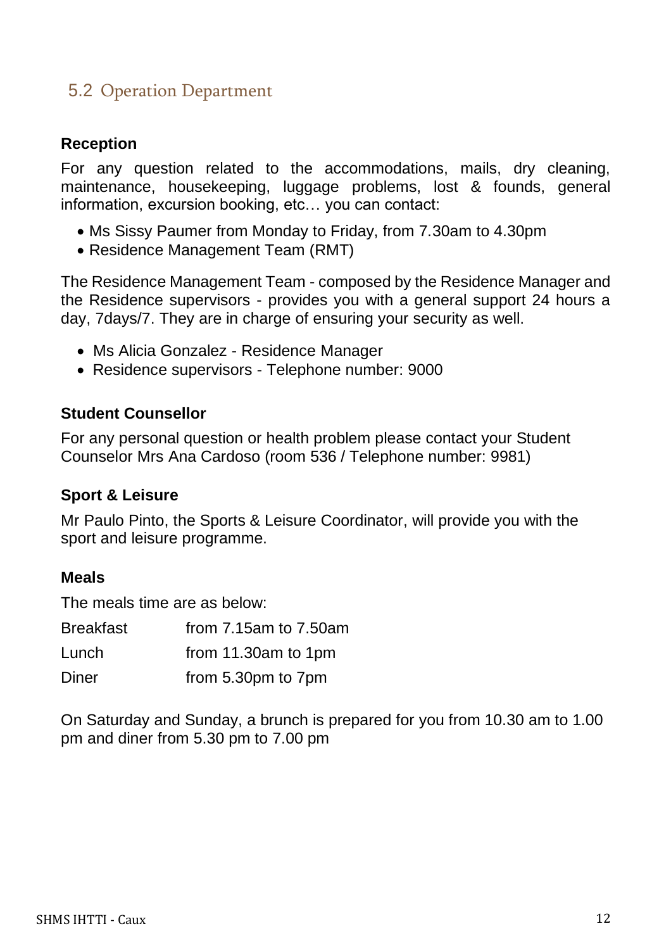## <span id="page-13-0"></span>5.2 Operation Department

## **Reception**

For any question related to the accommodations, mails, dry cleaning, maintenance, housekeeping, luggage problems, lost & founds, general information, excursion booking, etc… you can contact:

- Ms Sissy Paumer from Monday to Friday, from 7.30am to 4.30pm
- Residence Management Team (RMT)

The Residence Management Team - composed by the Residence Manager and the Residence supervisors - provides you with a general support 24 hours a day, 7days/7. They are in charge of ensuring your security as well.

- Ms Alicia Gonzalez Residence Manager
- Residence supervisors Telephone number: 9000

#### **Student Counsellor**

For any personal question or health problem please contact your Student Counselor Mrs Ana Cardoso (room 536 / Telephone number: 9981)

#### **Sport & Leisure**

Mr Paulo Pinto, the Sports & Leisure Coordinator, will provide you with the sport and leisure programme.

#### **Meals**

The meals time are as below:

| <b>Breakfast</b> | from $7.15$ am to $7.50$ am |
|------------------|-----------------------------|
| Lunch            | from 11.30am to 1pm         |
| Diner            | from 5.30pm to 7pm          |

On Saturday and Sunday, a brunch is prepared for you from 10.30 am to 1.00 pm and diner from 5.30 pm to 7.00 pm